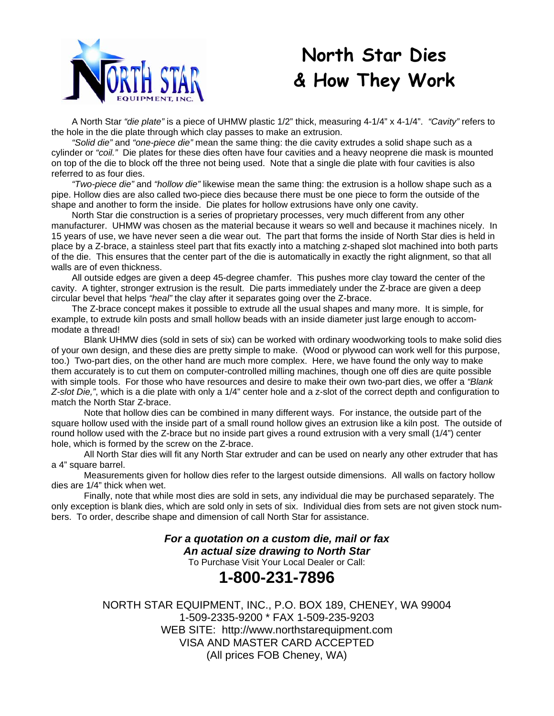

# **North Star Dies & How They Work**

 A North Star *"die plate"* is a piece of UHMW plastic 1/2" thick, measuring 4-1/4" x 4-1/4". *"Cavity"* refers to the hole in the die plate through which clay passes to make an extrusion.

*"Solid die"* and *"one-piece die"* mean the same thing: the die cavity extrudes a solid shape such as a cylinder or *"coil."* Die plates for these dies often have four cavities and a heavy neoprene die mask is mounted on top of the die to block off the three not being used. Note that a single die plate with four cavities is also referred to as four dies.

*"Two-piece die"* and *"hollow die"* likewise mean the same thing: the extrusion is a hollow shape such as a pipe. Hollow dies are also called two-piece dies because there must be one piece to form the outside of the shape and another to form the inside. Die plates for hollow extrusions have only one cavity.

 North Star die construction is a series of proprietary processes, very much different from any other manufacturer. UHMW was chosen as the material because it wears so well and because it machines nicely. In 15 years of use, we have never seen a die wear out. The part that forms the inside of North Star dies is held in place by a Z-brace, a stainless steel part that fits exactly into a matching z-shaped slot machined into both parts of the die. This ensures that the center part of the die is automatically in exactly the right alignment, so that all walls are of even thickness.

 All outside edges are given a deep 45-degree chamfer. This pushes more clay toward the center of the cavity. A tighter, stronger extrusion is the result. Die parts immediately under the Z-brace are given a deep circular bevel that helps *"heal"* the clay after it separates going over the Z-brace.

 The Z-brace concept makes it possible to extrude all the usual shapes and many more. It is simple, for example, to extrude kiln posts and small hollow beads with an inside diameter just large enough to accommodate a thread!

 Blank UHMW dies (sold in sets of six) can be worked with ordinary woodworking tools to make solid dies of your own design, and these dies are pretty simple to make. (Wood or plywood can work well for this purpose, too.) Two-part dies, on the other hand are much more complex. Here, we have found the only way to make them accurately is to cut them on computer-controlled milling machines, though one off dies are quite possible with simple tools. For those who have resources and desire to make their own two-part dies, we offer a *"Blank Z-slot Die,"*, which is a die plate with only a 1/4" center hole and a z-slot of the correct depth and configuration to match the North Star Z-brace.

 Note that hollow dies can be combined in many different ways. For instance, the outside part of the square hollow used with the inside part of a small round hollow gives an extrusion like a kiln post. The outside of round hollow used with the Z-brace but no inside part gives a round extrusion with a very small (1/4") center hole, which is formed by the screw on the Z-brace.

 All North Star dies will fit any North Star extruder and can be used on nearly any other extruder that has a 4" square barrel.

 Measurements given for hollow dies refer to the largest outside dimensions. All walls on factory hollow dies are 1/4" thick when wet.

 Finally, note that while most dies are sold in sets, any individual die may be purchased separately. The only exception is blank dies, which are sold only in sets of six. Individual dies from sets are not given stock numbers. To order, describe shape and dimension of call North Star for assistance.

> *For a quotation on a custom die, mail or fax An actual size drawing to North Star*

To Purchase Visit Your Local Dealer or Call:

## **1-800-231-7896**

NORTH STAR EQUIPMENT, INC., P.O. BOX 189, CHENEY, WA 99004 1-509-2335-9200 \* FAX 1-509-235-9203 WEB SITE: http://www.northstarequipment.com VISA AND MASTER CARD ACCEPTED (All prices FOB Cheney, WA)